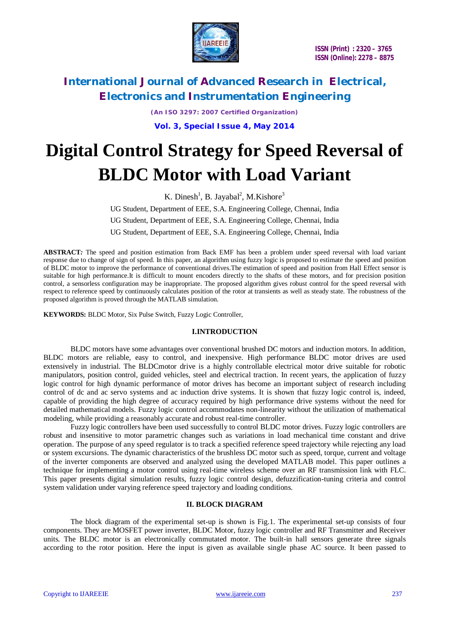

*(An ISO 3297: 2007 Certified Organization)* **Vol. 3, Special Issue 4, May 2014**

# **Digital Control Strategy for Speed Reversal of BLDC Motor with Load Variant**

K. Dinesh<sup>1</sup>, B. Jayabal<sup>2</sup>, M. Kishore<sup>3</sup> UG Student, Department of EEE, S.A. Engineering College, Chennai, India UG Student, Department of EEE, S.A. Engineering College, Chennai, India UG Student, Department of EEE, S.A. Engineering College, Chennai, India

**ABSTRACT***:* The speed and position estimation from Back EMF has been a problem under speed reversal with load variant response due to change of sign of speed. In this paper, an algorithm using fuzzy logic is proposed to estimate the speed and position of BLDC motor to improve the performance of conventional drives.The estimation of speed and position from Hall Effect sensor is suitable for high performance.It is difficult to mount encoders directly to the shafts of these motors, and for precision position control, a sensorless configuration may be inappropriate. The proposed algorithm gives robust control for the speed reversal with respect to reference speed by continuously calculates position of the rotor at transients as well as steady state. The robustness of the proposed algorithm is proved through the MATLAB simulation.

**KEYWORDS:** BLDC Motor, Six Pulse Switch, Fuzzy Logic Controller,

#### **I.INTRODUCTION**

BLDC motors have some advantages over conventional brushed DC motors and induction motors. In addition, BLDC motors are reliable, easy to control, and inexpensive. High performance BLDC motor drives are used extensively in industrial. The BLDCmotor drive is a highly controllable electrical motor drive suitable for robotic manipulators, position control, guided vehicles, steel and electrical traction. In recent years, the application of fuzzy logic control for high dynamic performance of motor drives has become an important subject of research including control of dc and ac servo systems and ac induction drive systems. It is shown that fuzzy logic control is, indeed, capable of providing the high degree of accuracy required by high performance drive systems without the need for detailed mathematical models. Fuzzy logic control accommodates non-linearity without the utilization of mathematical modeling, while providing a reasonably accurate and robust real-time controller.

Fuzzy logic controllers have been used successfully to control BLDC motor drives. Fuzzy logic controllers are robust and insensitive to motor parametric changes such as variations in load mechanical time constant and drive operation. The purpose of any speed regulator is to track a specified reference speed trajectory while rejecting any load or system excursions. The dynamic characteristics of the brushless DC motor such as speed, torque, current and voltage of the inverter components are observed and analyzed using the developed MATLAB model. This paper outlines a technique for implementing a motor control using real-time wireless scheme over an RF transmission link with FLC. This paper presents digital simulation results, fuzzy logic control design, defuzzification-tuning criteria and control system validation under varying reference speed trajectory and loading conditions.

### **II. BLOCK DIAGRAM**

The block diagram of the experimental set-up is shown is Fig.1. The experimental set-up consists of four components. They are MOSFET power inverter, BLDC Motor, fuzzy logic controller and RF Transmitter and Receiver units. The BLDC motor is an electronically commutated motor. The built-in hall sensors generate three signals according to the rotor position. Here the input is given as available single phase AC source. It been passed to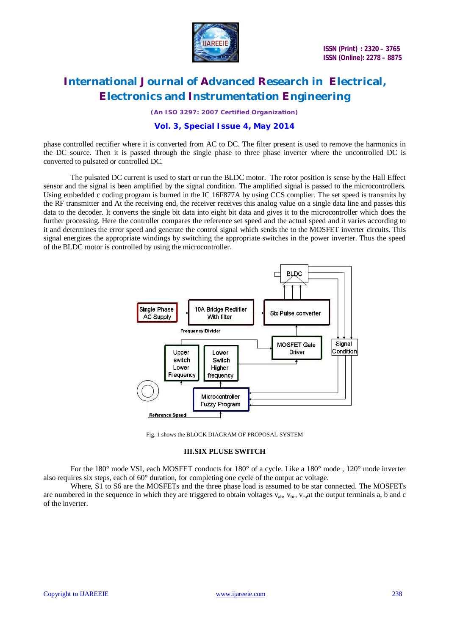

 **ISSN (Print) : 2320 – 3765 ISSN (Online): 2278 – 8875**

### **International Journal of Advanced Research in Electrical, Electronics and Instrumentation Engineering**

*(An ISO 3297: 2007 Certified Organization)*

### **Vol. 3, Special Issue 4, May 2014**

phase controlled rectifier where it is converted from AC to DC. The filter present is used to remove the harmonics in the DC source. Then it is passed through the single phase to three phase inverter where the uncontrolled DC is converted to pulsated or controlled DC.

The pulsated DC current is used to start or run the BLDC motor. The rotor position is sense by the Hall Effect sensor and the signal is been amplified by the signal condition. The amplified signal is passed to the microcontrollers. Using embedded c coding program is burned in the IC 16F877A by using CCS complier. The set speed is transmits by the RF transmitter and At the receiving end, the receiver receives this analog value on a single data line and passes this data to the decoder. It converts the single bit data into eight bit data and gives it to the microcontroller which does the further processing. Here the controller compares the reference set speed and the actual speed and it varies according to it and determines the error speed and generate the control signal which sends the to the MOSFET inverter circuits. This signal energizes the appropriate windings by switching the appropriate switches in the power inverter. Thus the speed of the BLDC motor is controlled by using the microcontroller.



Fig. 1 shows the BLOCK DIAGRAM OF PROPOSAL SYSTEM

#### **III.SIX PLUSE SWITCH**

For the 180° mode VSI, each MOSFET conducts for 180° of a cycle. Like a 180° mode , 120° mode inverter also requires six steps, each of 60° duration, for completing one cycle of the output ac voltage.

Where, S1 to S6 are the MOSFETs and the three phase load is assumed to be star connected. The MOSFETs are numbered in the sequence in which they are triggered to obtain voltages  $v_{ab}$ ,  $v_{bc}$ ,  $v_{ca}$  at the output terminals a, b and c of the inverter.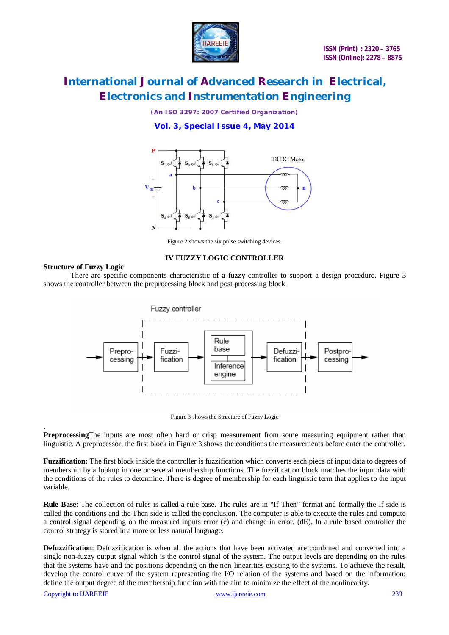

*(An ISO 3297: 2007 Certified Organization)*

**Vol. 3, Special Issue 4, May 2014**



Figure 2 shows the six pulse switching devices.

#### **IV FUZZY LOGIC CONTROLLER**

### **Structure of Fuzzy Logic**

There are specific components characteristic of a fuzzy controller to support a design procedure. Figure 3 shows the controller between the preprocessing block and post processing block



Figure 3 shows the Structure of Fuzzy Logic

. **Preprocessing**The inputs are most often hard or crisp measurement from some measuring equipment rather than linguistic. A preprocessor, the first block in Figure 3 shows the conditions the measurements before enter the controller.

**Fuzzification:** The first block inside the controller is fuzzification which converts each piece of input data to degrees of membership by a lookup in one or several membership functions. The fuzzification block matches the input data with the conditions of the rules to determine. There is degree of membership for each linguistic term that applies to the input variable.

**Rule Base**: The collection of rules is called a rule base. The rules are in "If Then" format and formally the If side is called the conditions and the Then side is called the conclusion. The computer is able to execute the rules and compute a control signal depending on the measured inputs error (e) and change in error. (dE). In a rule based controller the control strategy is stored in a more or less natural language.

**Defuzzification**: Defuzzification is when all the actions that have been activated are combined and converted into a single non-fuzzy output signal which is the control signal of the system. The output levels are depending on the rules that the systems have and the positions depending on the non-linearities existing to the systems. To achieve the result, develop the control curve of the system representing the I/O relation of the systems and based on the information; define the output degree of the membership function with the aim to minimize the effect of the nonlinearity.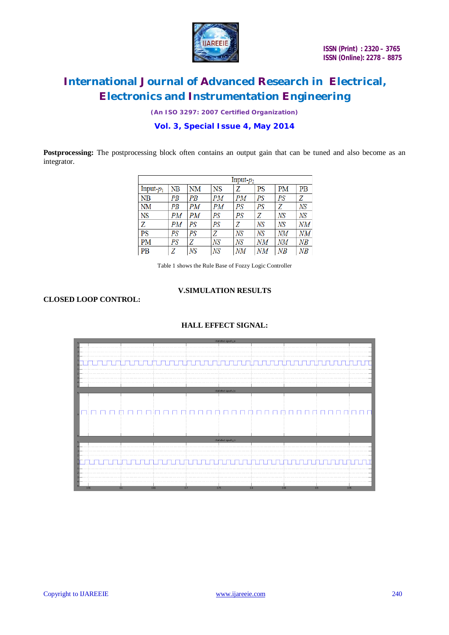

*(An ISO 3297: 2007 Certified Organization)*

### **Vol. 3, Special Issue 4, May 2014**

Postprocessing: The postprocessing block often contains an output gain that can be tuned and also become as an integrator.

|                 | Input- $p_2$ |    |           |    |    |        |    |
|-----------------|--------------|----|-----------|----|----|--------|----|
| Input $p_1$     | NΒ           | NM | <b>NS</b> | Z  | PS | PM     | PB |
| NB              | PB           | PB | PМ        | PМ | PS | PS     | Z  |
| NM              | PB           | PМ | PМ        | PS | PS | Z      | NS |
| <b>NS</b>       | PМ           | PМ | PS        | PS | Z  | NS     | NS |
| Z               | PМ           | PS | PS        | Z  | NS | NS     | NΜ |
| $\overline{PS}$ | PS           | PS | Z         | NS | NS | NM     | NM |
| <b>PM</b>       | PS           | Z  | NS        | NS | NΜ | NМ     | ΝB |
| <b>PB</b>       | Z            | NS | NS        | NΜ | NΜ | $N\!B$ | NB |

Table 1 shows the Rule Base of Fozzy Logic Controller

### **CLOSED LOOP CONTROL:**

## **V.SIMULATION RESULTS**

### **HALL EFFECT SIGNAL:**